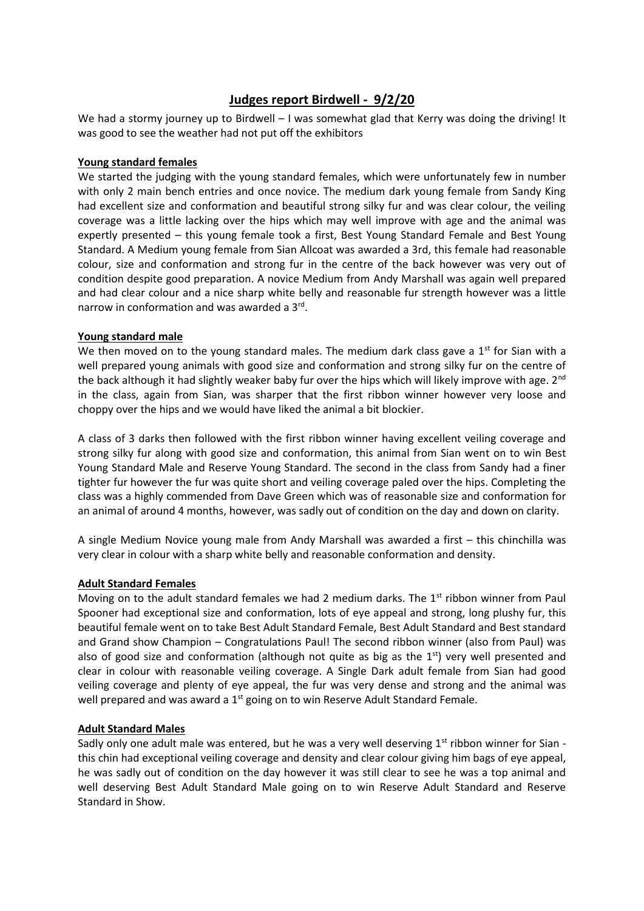# **Judges report Birdwell - 9/2/20**

We had a stormy journey up to Birdwell – I was somewhat glad that Kerry was doing the driving! It was good to see the weather had not put off the exhibitors

#### **Young standard females**

We started the judging with the young standard females, which were unfortunately few in number with only 2 main bench entries and once novice. The medium dark young female from Sandy King had excellent size and conformation and beautiful strong silky fur and was clear colour, the veiling coverage was a little lacking over the hips which may well improve with age and the animal was expertly presented – this young female took a first, Best Young Standard Female and Best Young Standard. A Medium young female from Sian Allcoat was awarded a 3rd, this female had reasonable colour, size and conformation and strong fur in the centre of the back however was very out of condition despite good preparation. A novice Medium from Andy Marshall was again well prepared and had clear colour and a nice sharp white belly and reasonable fur strength however was a little narrow in conformation and was awarded a 3rd.

#### **Young standard male**

We then moved on to the young standard males. The medium dark class gave a  $1<sup>st</sup>$  for Sian with a well prepared young animals with good size and conformation and strong silky fur on the centre of the back although it had slightly weaker baby fur over the hips which will likely improve with age. 2<sup>nd</sup> in the class, again from Sian, was sharper that the first ribbon winner however very loose and choppy over the hips and we would have liked the animal a bit blockier.

A class of 3 darks then followed with the first ribbon winner having excellent veiling coverage and strong silky fur along with good size and conformation, this animal from Sian went on to win Best Young Standard Male and Reserve Young Standard. The second in the class from Sandy had a finer tighter fur however the fur was quite short and veiling coverage paled over the hips. Completing the class was a highly commended from Dave Green which was of reasonable size and conformation for an animal of around 4 months, however, was sadly out of condition on the day and down on clarity.

A single Medium Novice young male from Andy Marshall was awarded a first – this chinchilla was very clear in colour with a sharp white belly and reasonable conformation and density.

# **Adult Standard Females**

Moving on to the adult standard females we had 2 medium darks. The  $1<sup>st</sup>$  ribbon winner from Paul Spooner had exceptional size and conformation, lots of eye appeal and strong, long plushy fur, this beautiful female went on to take Best Adult Standard Female, Best Adult Standard and Best standard and Grand show Champion – Congratulations Paul! The second ribbon winner (also from Paul) was also of good size and conformation (although not quite as big as the  $1<sup>st</sup>$ ) very well presented and clear in colour with reasonable veiling coverage. A Single Dark adult female from Sian had good veiling coverage and plenty of eye appeal, the fur was very dense and strong and the animal was well prepared and was award a 1<sup>st</sup> going on to win Reserve Adult Standard Female.

# **Adult Standard Males**

Sadly only one adult male was entered, but he was a very well deserving  $1<sup>st</sup>$  ribbon winner for Sian this chin had exceptional veiling coverage and density and clear colour giving him bags of eye appeal, he was sadly out of condition on the day however it was still clear to see he was a top animal and well deserving Best Adult Standard Male going on to win Reserve Adult Standard and Reserve Standard in Show.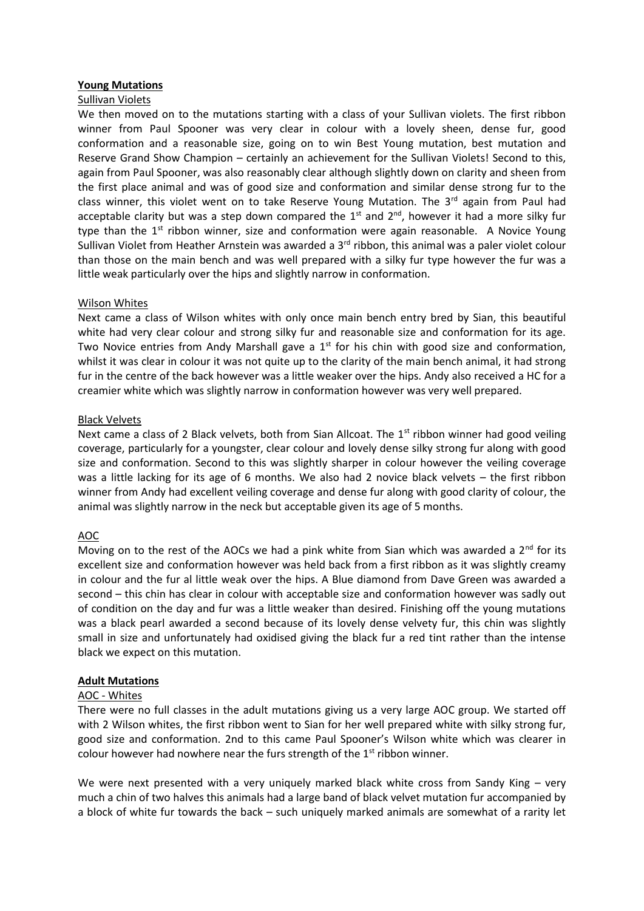# **Young Mutations**

#### Sullivan Violets

We then moved on to the mutations starting with a class of your Sullivan violets. The first ribbon winner from Paul Spooner was very clear in colour with a lovely sheen, dense fur, good conformation and a reasonable size, going on to win Best Young mutation, best mutation and Reserve Grand Show Champion – certainly an achievement for the Sullivan Violets! Second to this, again from Paul Spooner, was also reasonably clear although slightly down on clarity and sheen from the first place animal and was of good size and conformation and similar dense strong fur to the class winner, this violet went on to take Reserve Young Mutation. The  $3<sup>rd</sup>$  again from Paul had acceptable clarity but was a step down compared the  $1<sup>st</sup>$  and  $2<sup>nd</sup>$ , however it had a more silky fur type than the  $1<sup>st</sup>$  ribbon winner, size and conformation were again reasonable. A Novice Young Sullivan Violet from Heather Arnstein was awarded a 3<sup>rd</sup> ribbon, this animal was a paler violet colour than those on the main bench and was well prepared with a silky fur type however the fur was a little weak particularly over the hips and slightly narrow in conformation.

#### Wilson Whites

Next came a class of Wilson whites with only once main bench entry bred by Sian, this beautiful white had very clear colour and strong silky fur and reasonable size and conformation for its age. Two Novice entries from Andy Marshall gave a  $1<sup>st</sup>$  for his chin with good size and conformation, whilst it was clear in colour it was not quite up to the clarity of the main bench animal, it had strong fur in the centre of the back however was a little weaker over the hips. Andy also received a HC for a creamier white which was slightly narrow in conformation however was very well prepared.

#### Black Velvets

Next came a class of 2 Black velvets, both from Sian Allcoat. The  $1<sup>st</sup>$  ribbon winner had good veiling coverage, particularly for a youngster, clear colour and lovely dense silky strong fur along with good size and conformation. Second to this was slightly sharper in colour however the veiling coverage was a little lacking for its age of 6 months. We also had 2 novice black velvets – the first ribbon winner from Andy had excellent veiling coverage and dense fur along with good clarity of colour, the animal was slightly narrow in the neck but acceptable given its age of 5 months.

# AOC

Moving on to the rest of the AOCs we had a pink white from Sian which was awarded a  $2<sup>nd</sup>$  for its excellent size and conformation however was held back from a first ribbon as it was slightly creamy in colour and the fur al little weak over the hips. A Blue diamond from Dave Green was awarded a second – this chin has clear in colour with acceptable size and conformation however was sadly out of condition on the day and fur was a little weaker than desired. Finishing off the young mutations was a black pearl awarded a second because of its lovely dense velvety fur, this chin was slightly small in size and unfortunately had oxidised giving the black fur a red tint rather than the intense black we expect on this mutation.

# **Adult Mutations**

#### AOC - Whites

There were no full classes in the adult mutations giving us a very large AOC group. We started off with 2 Wilson whites, the first ribbon went to Sian for her well prepared white with silky strong fur, good size and conformation. 2nd to this came Paul Spooner's Wilson white which was clearer in colour however had nowhere near the furs strength of the  $1<sup>st</sup>$  ribbon winner.

We were next presented with a very uniquely marked black white cross from Sandy King – very much a chin of two halves this animals had a large band of black velvet mutation fur accompanied by a block of white fur towards the back – such uniquely marked animals are somewhat of a rarity let